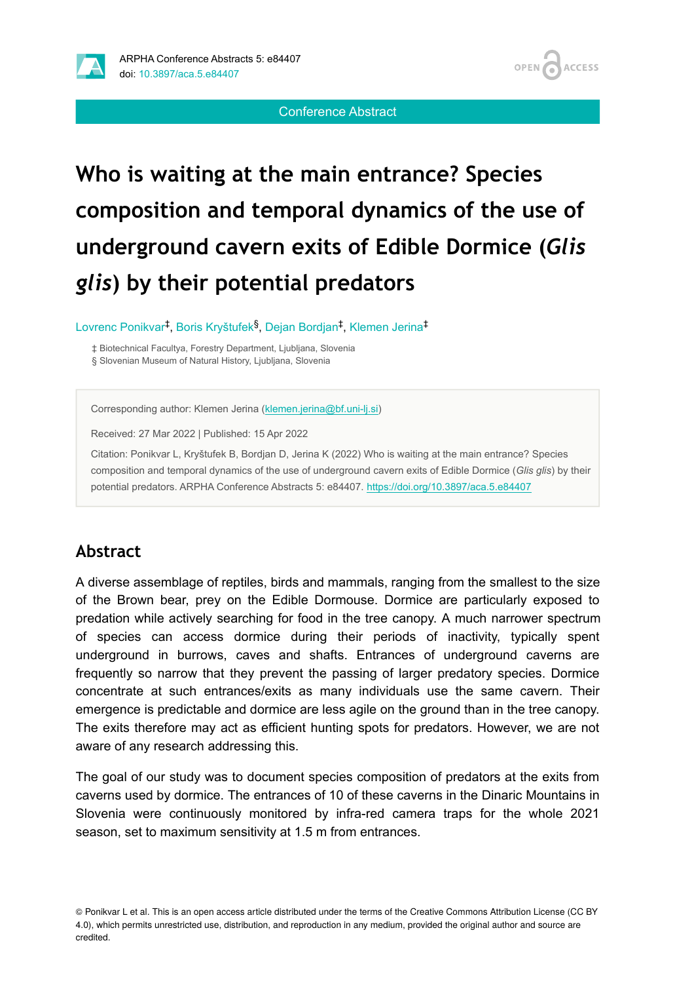

Conference Abstract

# **Who is waiting at the main entrance? Species composition and temporal dynamics of the use of underground cavern exits of Edible Dormice (***Glis glis***) by their potential predators**

Lovrenc Ponikvar<sup>‡</sup>, Boris Kryštufek<sup>§</sup>, Dejan Bordjan<sup>‡</sup>, Klemen Jerina<sup>‡</sup>

‡ Biotechnical Facultya, Forestry Department, Ljubljana, Slovenia § Slovenian Museum of Natural History, Ljubljana, Slovenia

Corresponding author: Klemen Jerina ([klemen.jerina@bf.uni-lj.si\)](mailto:klemen.jerina@bf.uni-lj.si)

Received: 27 Mar 2022 | Published: 15 Apr 2022

Citation: Ponikvar L, Kryštufek B, Bordjan D, Jerina K (2022) Who is waiting at the main entrance? Species composition and temporal dynamics of the use of underground cavern exits of Edible Dormice (*Glis glis*) by their potential predators. ARPHA Conference Abstracts 5: e84407. <https://doi.org/10.3897/aca.5.e84407>

## **Abstract**

A diverse assemblage of reptiles, birds and mammals, ranging from the smallest to the size of the Brown bear, prey on the Edible Dormouse. Dormice are particularly exposed to predation while actively searching for food in the tree canopy. A much narrower spectrum of species can access dormice during their periods of inactivity, typically spent underground in burrows, caves and shafts. Entrances of underground caverns are frequently so narrow that they prevent the passing of larger predatory species. Dormice concentrate at such entrances/exits as many individuals use the same cavern. Their emergence is predictable and dormice are less agile on the ground than in the tree canopy. The exits therefore may act as efficient hunting spots for predators. However, we are not aware of any research addressing this.

The goal of our study was to document species composition of predators at the exits from caverns used by dormice. The entrances of 10 of these caverns in the Dinaric Mountains in Slovenia were continuously monitored by infra-red camera traps for the whole 2021 season, set to maximum sensitivity at 1.5 m from entrances.

<sup>©</sup> Ponikvar L et al. This is an open access article distributed under the terms of the Creative Commons Attribution License (CC BY 4.0), which permits unrestricted use, distribution, and reproduction in any medium, provided the original author and source are credited.